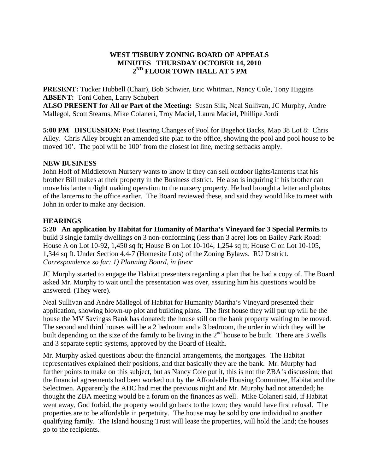## **WEST TISBURY ZONING BOARD OF APPEALS MINUTES THURSDAY OCTOBER 14, 2010 2ND FLOOR TOWN HALL AT 5 PM**

**PRESENT:** Tucker Hubbell (Chair), Bob Schwier, Eric Whitman, Nancy Cole, Tony Higgins **ABSENT:** Toni Cohen, Larry Schubert

**ALSO PRESENT for All or Part of the Meeting:** Susan Silk, Neal Sullivan, JC Murphy, Andre Mallegol, Scott Stearns, Mike Colaneri, Troy Maciel, Laura Maciel, Phillipe Jordi

**5:00 PM DISCUSSION:** Post Hearing Changes of Pool for Bagehot Backs, Map 38 Lot 8: Chris Alley. Chris Alley brought an amended site plan to the office, showing the pool and pool house to be moved 10'. The pool will be 100' from the closest lot line, meting setbacks amply.

### **NEW BUSINESS**

John Hoff of Middletown Nursery wants to know if they can sell outdoor lights/lanterns that his brother Bill makes at their property in the Business district. He also is inquiring if his brother can move his lantern /light making operation to the nursery property. He had brought a letter and photos of the lanterns to the office earlier. The Board reviewed these, and said they would like to meet with John in order to make any decision.

### **HEARINGS**

**5:20 An application by Habitat for Humanity of Martha's Vineyard for 3 Special Permits** to build 3 single family dwellings on 3 non-conforming (less than 3 acre) lots on Bailey Park Road: House A on Lot 10-92, 1,450 sq ft; House B on Lot 10-104, 1,254 sq ft; House C on Lot 10-105, 1,344 sq ft. Under Section 4.4-7 (Homesite Lots) of the Zoning Bylaws. RU District. *Correspondence so far: 1) Planning Board, in favor* 

JC Murphy started to engage the Habitat presenters regarding a plan that he had a copy of. The Board asked Mr. Murphy to wait until the presentation was over, assuring him his questions would be answered. (They were).

Neal Sullivan and Andre Mallegol of Habitat for Humanity Martha's Vineyard presented their application, showing blown-up plot and building plans. The first house they will put up will be the house the MV Savingss Bank has donated; the house still on the bank property waiting to be moved. The second and third houses will be a 2 bedroom and a 3 bedroom, the order in which they will be built depending on the size of the family to be living in the  $2<sup>nd</sup>$  house to be built. There are 3 wells and 3 separate septic systems, approved by the Board of Health.

Mr. Murphy asked questions about the financial arrangements, the mortgages. The Habitat representatives explained their positions, and that basically they are the bank. Mr. Murphy had further points to make on this subject, but as Nancy Cole put it, this is not the ZBA's discussion; that the financial agreements had been worked out by the Affordable Housing Committee, Habitat and the Selectmen. Apparently the AHC had met the previous night and Mr. Murphy had not attended; he thought the ZBA meeting would be a forum on the finances as well. Mike Colaneri said, if Habitat went away, God forbid, the property would go back to the town; they would have first refusal. The properties are to be affordable in perpetuity. The house may be sold by one individual to another qualifying family. The Island housing Trust will lease the properties, will hold the land; the houses go to the recipients.